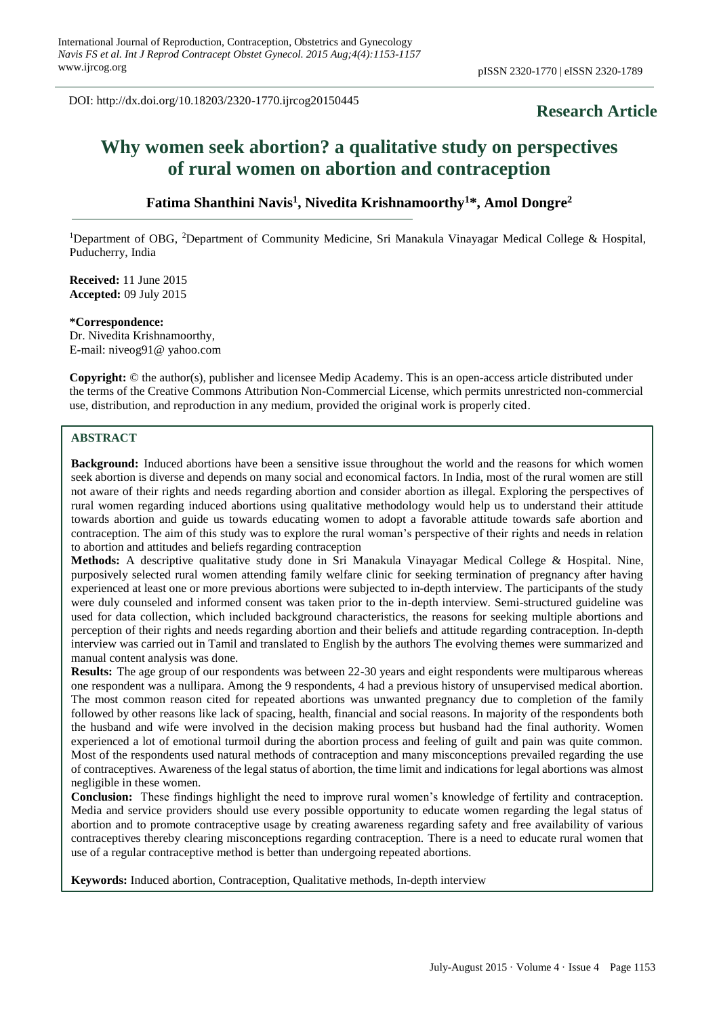DOI: http://dx.doi.org/10.18203/2320-1770.ijrcog20150445

# **Research Article**

# **Why women seek abortion? a qualitative study on perspectives of rural women on abortion and contraception**

# **Fatima Shanthini Navis<sup>1</sup> , Nivedita Krishnamoorthy<sup>1</sup>\*, Amol Dongre<sup>2</sup>**

<sup>1</sup>Department of OBG, <sup>2</sup>Department of Community Medicine, Sri Manakula Vinayagar Medical College & Hospital, Puducherry, India

**Received:** 11 June 2015 **Accepted:** 09 July 2015

#### **\*Correspondence:**

Dr. Nivedita Krishnamoorthy, E-mail: niveog91@ yahoo.com

**Copyright:** © the author(s), publisher and licensee Medip Academy. This is an open-access article distributed under the terms of the Creative Commons Attribution Non-Commercial License, which permits unrestricted non-commercial use, distribution, and reproduction in any medium, provided the original work is properly cited.

## **ABSTRACT**

**Background:** Induced abortions have been a sensitive issue throughout the world and the reasons for which women seek abortion is diverse and depends on many social and economical factors. In India, most of the rural women are still not aware of their rights and needs regarding abortion and consider abortion as illegal. Exploring the perspectives of rural women regarding induced abortions using qualitative methodology would help us to understand their attitude towards abortion and guide us towards educating women to adopt a favorable attitude towards safe abortion and contraception. The aim of this study was to explore the rural woman's perspective of their rights and needs in relation to abortion and attitudes and beliefs regarding contraception

**Methods:** A descriptive qualitative study done in Sri Manakula Vinayagar Medical College & Hospital. Nine, purposively selected rural women attending family welfare clinic for seeking termination of pregnancy after having experienced at least one or more previous abortions were subjected to in-depth interview. The participants of the study were duly counseled and informed consent was taken prior to the in-depth interview. Semi-structured guideline was used for data collection, which included background characteristics, the reasons for seeking multiple abortions and perception of their rights and needs regarding abortion and their beliefs and attitude regarding contraception. In-depth interview was carried out in Tamil and translated to English by the authors The evolving themes were summarized and manual content analysis was done.

**Results:** The age group of our respondents was between 22-30 years and eight respondents were multiparous whereas one respondent was a nullipara. Among the 9 respondents, 4 had a previous history of unsupervised medical abortion. The most common reason cited for repeated abortions was unwanted pregnancy due to completion of the family followed by other reasons like lack of spacing, health, financial and social reasons. In majority of the respondents both the husband and wife were involved in the decision making process but husband had the final authority. Women experienced a lot of emotional turmoil during the abortion process and feeling of guilt and pain was quite common. Most of the respondents used natural methods of contraception and many misconceptions prevailed regarding the use of contraceptives. Awareness of the legal status of abortion, the time limit and indications for legal abortions was almost negligible in these women.

**Conclusion:** These findings highlight the need to improve rural women's knowledge of fertility and contraception. Media and service providers should use every possible opportunity to educate women regarding the legal status of abortion and to promote contraceptive usage by creating awareness regarding safety and free availability of various contraceptives thereby clearing misconceptions regarding contraception. There is a need to educate rural women that use of a regular contraceptive method is better than undergoing repeated abortions.

**Keywords:** Induced abortion, Contraception, Qualitative methods, In-depth interview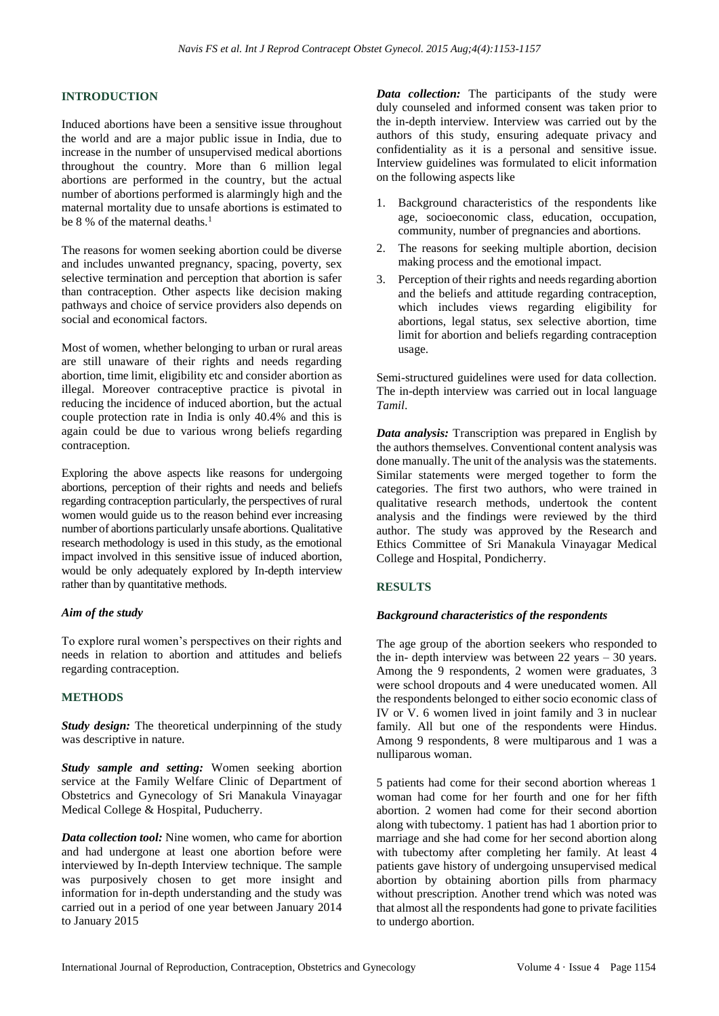## **INTRODUCTION**

Induced abortions have been a sensitive issue throughout the world and are a major public issue in India, due to increase in the number of unsupervised medical abortions throughout the country. More than 6 million legal abortions are performed in the country, but the actual number of abortions performed is alarmingly high and the maternal mortality due to unsafe abortions is estimated to be 8 % of the maternal deaths.<sup>1</sup>

The reasons for women seeking abortion could be diverse and includes unwanted pregnancy, spacing, poverty, sex selective termination and perception that abortion is safer than contraception. Other aspects like decision making pathways and choice of service providers also depends on social and economical factors.

Most of women, whether belonging to urban or rural areas are still unaware of their rights and needs regarding abortion, time limit, eligibility etc and consider abortion as illegal. Moreover contraceptive practice is pivotal in reducing the incidence of induced abortion, but the actual couple protection rate in India is only 40.4% and this is again could be due to various wrong beliefs regarding contraception.

Exploring the above aspects like reasons for undergoing abortions, perception of their rights and needs and beliefs regarding contraception particularly, the perspectives of rural women would guide us to the reason behind ever increasing number of abortions particularly unsafe abortions. Qualitative research methodology is used in this study, as the emotional impact involved in this sensitive issue of induced abortion, would be only adequately explored by In-depth interview rather than by quantitative methods.

#### *Aim of the study*

To explore rural women's perspectives on their rights and needs in relation to abortion and attitudes and beliefs regarding contraception.

#### **METHODS**

*Study design:* The theoretical underpinning of the study was descriptive in nature.

*Study sample and setting:* Women seeking abortion service at the Family Welfare Clinic of Department of Obstetrics and Gynecology of Sri Manakula Vinayagar Medical College & Hospital, Puducherry.

*Data collection tool:* Nine women, who came for abortion and had undergone at least one abortion before were interviewed by In-depth Interview technique. The sample was purposively chosen to get more insight and information for in-depth understanding and the study was carried out in a period of one year between January 2014 to January 2015

*Data collection:* The participants of the study were duly counseled and informed consent was taken prior to the in-depth interview. Interview was carried out by the authors of this study, ensuring adequate privacy and confidentiality as it is a personal and sensitive issue. Interview guidelines was formulated to elicit information on the following aspects like

- 1. Background characteristics of the respondents like age, socioeconomic class, education, occupation, community, number of pregnancies and abortions.
- 2. The reasons for seeking multiple abortion, decision making process and the emotional impact.
- 3. Perception of their rights and needs regarding abortion and the beliefs and attitude regarding contraception, which includes views regarding eligibility for abortions, legal status, sex selective abortion, time limit for abortion and beliefs regarding contraception usage.

Semi-structured guidelines were used for data collection. The in-depth interview was carried out in local language *Tamil*.

*Data analysis:* Transcription was prepared in English by the authors themselves. Conventional content analysis was done manually. The unit of the analysis was the statements. Similar statements were merged together to form the categories. The first two authors, who were trained in qualitative research methods, undertook the content analysis and the findings were reviewed by the third author. The study was approved by the Research and Ethics Committee of Sri Manakula Vinayagar Medical College and Hospital, Pondicherry.

# **RESULTS**

#### *Background characteristics of the respondents*

The age group of the abortion seekers who responded to the in- depth interview was between 22 years – 30 years. Among the 9 respondents, 2 women were graduates, 3 were school dropouts and 4 were uneducated women. All the respondents belonged to either socio economic class of IV or V. 6 women lived in joint family and 3 in nuclear family. All but one of the respondents were Hindus. Among 9 respondents, 8 were multiparous and 1 was a nulliparous woman.

5 patients had come for their second abortion whereas 1 woman had come for her fourth and one for her fifth abortion. 2 women had come for their second abortion along with tubectomy. 1 patient has had 1 abortion prior to marriage and she had come for her second abortion along with tubectomy after completing her family. At least 4 patients gave history of undergoing unsupervised medical abortion by obtaining abortion pills from pharmacy without prescription. Another trend which was noted was that almost all the respondents had gone to private facilities to undergo abortion.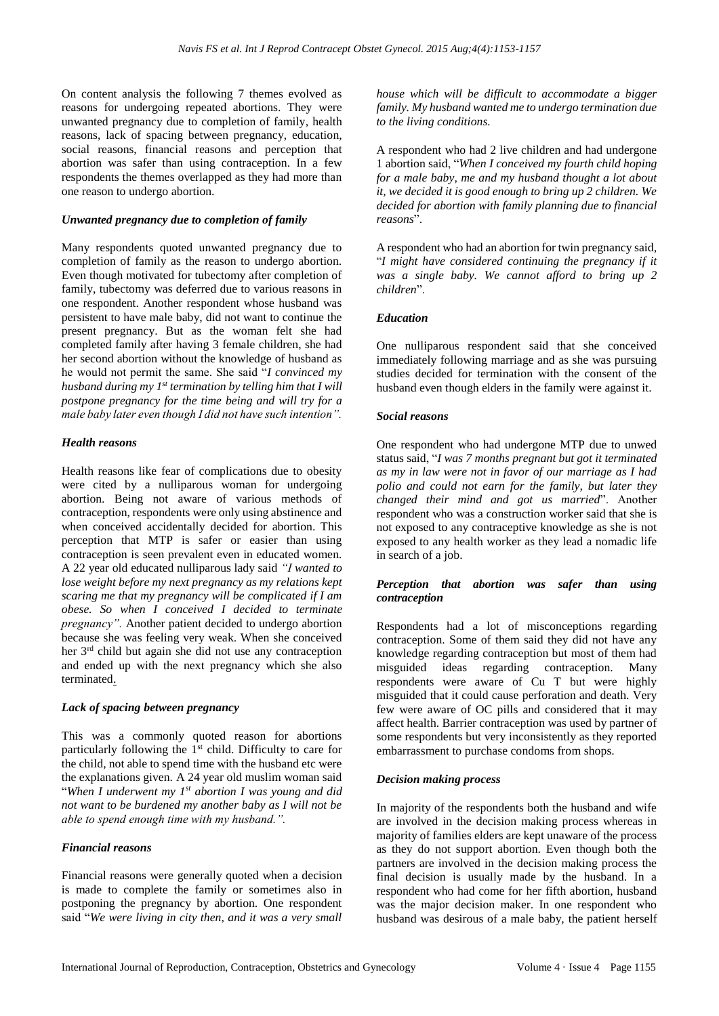On content analysis the following 7 themes evolved as reasons for undergoing repeated abortions. They were unwanted pregnancy due to completion of family, health reasons, lack of spacing between pregnancy, education, social reasons, financial reasons and perception that abortion was safer than using contraception. In a few respondents the themes overlapped as they had more than one reason to undergo abortion.

# *Unwanted pregnancy due to completion of family*

Many respondents quoted unwanted pregnancy due to completion of family as the reason to undergo abortion. Even though motivated for tubectomy after completion of family, tubectomy was deferred due to various reasons in one respondent. Another respondent whose husband was persistent to have male baby, did not want to continue the present pregnancy. But as the woman felt she had completed family after having 3 female children, she had her second abortion without the knowledge of husband as he would not permit the same. She said "*I convinced my husband during my 1st termination by telling him that I will postpone pregnancy for the time being and will try for a male baby later even though I did not have such intention".*

#### *Health reasons*

Health reasons like fear of complications due to obesity were cited by a nulliparous woman for undergoing abortion. Being not aware of various methods of contraception, respondents were only using abstinence and when conceived accidentally decided for abortion. This perception that MTP is safer or easier than using contraception is seen prevalent even in educated women*.*  A 22 year old educated nulliparous lady said *"I wanted to lose weight before my next pregnancy as my relations kept scaring me that my pregnancy will be complicated if I am obese. So when I conceived I decided to terminate pregnancy".* Another patient decided to undergo abortion because she was feeling very weak. When she conceived her 3rd child but again she did not use any contraception and ended up with the next pregnancy which she also terminated.

#### *Lack of spacing between pregnancy*

This was a commonly quoted reason for abortions particularly following the  $1<sup>st</sup>$  child. Difficulty to care for the child, not able to spend time with the husband etc were the explanations given. A 24 year old muslim woman said "*When I underwent my 1st abortion I was young and did not want to be burdened my another baby as I will not be able to spend enough time with my husband.".*

# *Financial reasons*

Financial reasons were generally quoted when a decision is made to complete the family or sometimes also in postponing the pregnancy by abortion. One respondent said "*We were living in city then, and it was a very small* 

*house which will be difficult to accommodate a bigger family. My husband wanted me to undergo termination due to the living conditions.*

A respondent who had 2 live children and had undergone 1 abortion said, "*When I conceived my fourth child hoping for a male baby, me and my husband thought a lot about it, we decided it is good enough to bring up 2 children. We decided for abortion with family planning due to financial reasons*".

A respondent who had an abortion for twin pregnancy said, "*I might have considered continuing the pregnancy if it was a single baby. We cannot afford to bring up 2 children*".

#### *Education*

One nulliparous respondent said that she conceived immediately following marriage and as she was pursuing studies decided for termination with the consent of the husband even though elders in the family were against it.

## *Social reasons*

One respondent who had undergone MTP due to unwed status said, "*I was 7 months pregnant but got it terminated as my in law were not in favor of our marriage as I had polio and could not earn for the family, but later they changed their mind and got us married*". Another respondent who was a construction worker said that she is not exposed to any contraceptive knowledge as she is not exposed to any health worker as they lead a nomadic life in search of a job.

# *Perception that abortion was safer than using contraception*

Respondents had a lot of misconceptions regarding contraception. Some of them said they did not have any knowledge regarding contraception but most of them had misguided ideas regarding contraception. Many respondents were aware of Cu T but were highly misguided that it could cause perforation and death. Very few were aware of OC pills and considered that it may affect health. Barrier contraception was used by partner of some respondents but very inconsistently as they reported embarrassment to purchase condoms from shops.

# *Decision making process*

In majority of the respondents both the husband and wife are involved in the decision making process whereas in majority of families elders are kept unaware of the process as they do not support abortion. Even though both the partners are involved in the decision making process the final decision is usually made by the husband. In a respondent who had come for her fifth abortion, husband was the major decision maker. In one respondent who husband was desirous of a male baby, the patient herself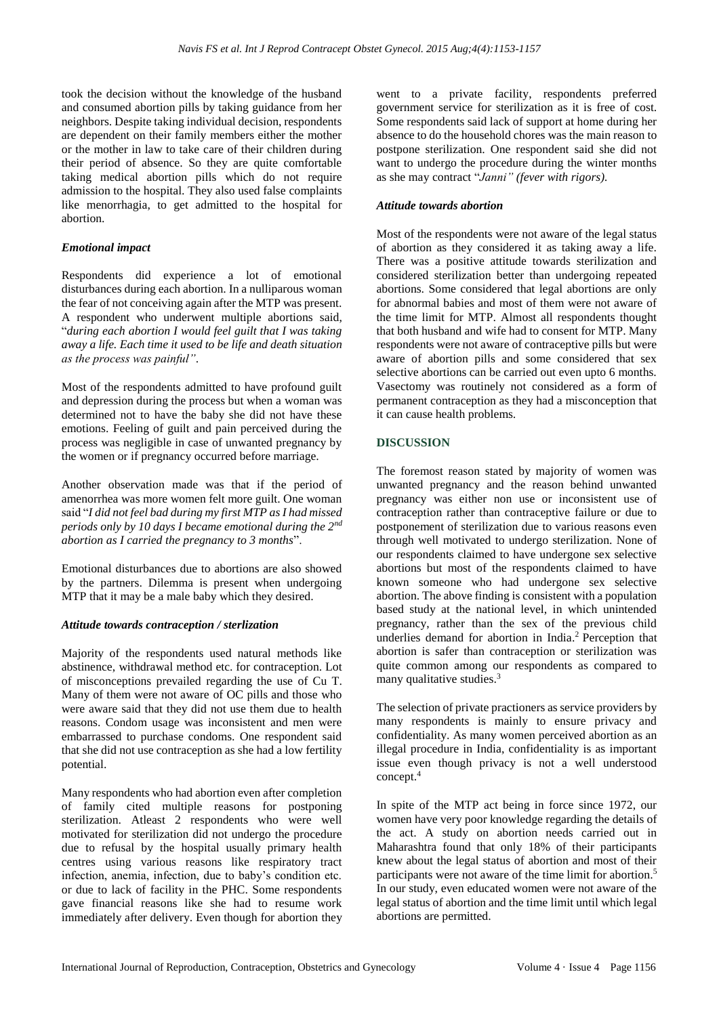took the decision without the knowledge of the husband and consumed abortion pills by taking guidance from her neighbors. Despite taking individual decision, respondents are dependent on their family members either the mother or the mother in law to take care of their children during their period of absence. So they are quite comfortable taking medical abortion pills which do not require admission to the hospital. They also used false complaints like menorrhagia, to get admitted to the hospital for abortion.

#### *Emotional impact*

Respondents did experience a lot of emotional disturbances during each abortion. In a nulliparous woman the fear of not conceiving again after the MTP was present. A respondent who underwent multiple abortions said, "*during each abortion I would feel guilt that I was taking away a life. Each time it used to be life and death situation as the process was painful"*.

Most of the respondents admitted to have profound guilt and depression during the process but when a woman was determined not to have the baby she did not have these emotions. Feeling of guilt and pain perceived during the process was negligible in case of unwanted pregnancy by the women or if pregnancy occurred before marriage.

Another observation made was that if the period of amenorrhea was more women felt more guilt. One woman said "*I did not feel bad during my first MTP as I had missed periods only by 10 days I became emotional during the 2nd abortion as I carried the pregnancy to 3 months*".

Emotional disturbances due to abortions are also showed by the partners. Dilemma is present when undergoing MTP that it may be a male baby which they desired.

#### *Attitude towards contraception / sterlization*

Majority of the respondents used natural methods like abstinence, withdrawal method etc. for contraception. Lot of misconceptions prevailed regarding the use of Cu T. Many of them were not aware of OC pills and those who were aware said that they did not use them due to health reasons. Condom usage was inconsistent and men were embarrassed to purchase condoms. One respondent said that she did not use contraception as she had a low fertility potential.

Many respondents who had abortion even after completion of family cited multiple reasons for postponing sterilization. Atleast 2 respondents who were well motivated for sterilization did not undergo the procedure due to refusal by the hospital usually primary health centres using various reasons like respiratory tract infection, anemia, infection, due to baby's condition etc. or due to lack of facility in the PHC. Some respondents gave financial reasons like she had to resume work immediately after delivery. Even though for abortion they went to a private facility, respondents preferred government service for sterilization as it is free of cost. Some respondents said lack of support at home during her absence to do the household chores was the main reason to postpone sterilization. One respondent said she did not want to undergo the procedure during the winter months as she may contract "*Janni" (fever with rigors).*

# *Attitude towards abortion*

Most of the respondents were not aware of the legal status of abortion as they considered it as taking away a life. There was a positive attitude towards sterilization and considered sterilization better than undergoing repeated abortions. Some considered that legal abortions are only for abnormal babies and most of them were not aware of the time limit for MTP. Almost all respondents thought that both husband and wife had to consent for MTP. Many respondents were not aware of contraceptive pills but were aware of abortion pills and some considered that sex selective abortions can be carried out even upto 6 months. Vasectomy was routinely not considered as a form of permanent contraception as they had a misconception that it can cause health problems.

# **DISCUSSION**

The foremost reason stated by majority of women was unwanted pregnancy and the reason behind unwanted pregnancy was either non use or inconsistent use of contraception rather than contraceptive failure or due to postponement of sterilization due to various reasons even through well motivated to undergo sterilization. None of our respondents claimed to have undergone sex selective abortions but most of the respondents claimed to have known someone who had undergone sex selective abortion. The above finding is consistent with a population based study at the national level, in which unintended pregnancy, rather than the sex of the previous child underlies demand for abortion in India. <sup>2</sup> Perception that abortion is safer than contraception or sterilization was quite common among our respondents as compared to many qualitative studies.<sup>3</sup>

The selection of private practioners as service providers by many respondents is mainly to ensure privacy and confidentiality. As many women perceived abortion as an illegal procedure in India, confidentiality is as important issue even though privacy is not a well understood concept. 4

In spite of the MTP act being in force since 1972, our women have very poor knowledge regarding the details of the act. A study on abortion needs carried out in Maharashtra found that only 18% of their participants knew about the legal status of abortion and most of their participants were not aware of the time limit for abortion. 5 In our study, even educated women were not aware of the legal status of abortion and the time limit until which legal abortions are permitted.